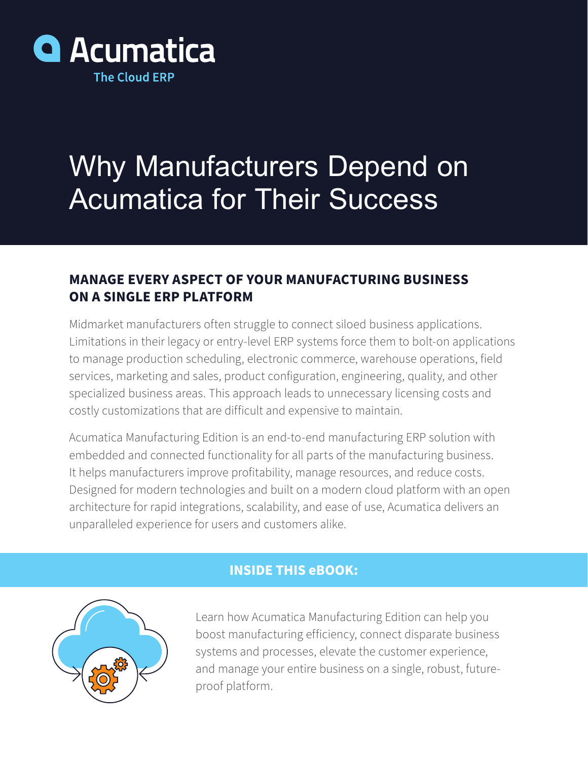

# Why Manufacturers Depend on Acumatica for Their Success

## **MANAGE EVERY ASPECT OF YOUR MANUFACTURING BUSINESS ON A SINGLE ERP PLATFORM**

Midmarket manufacturers often struggle to connect siloed business applications. Limitations in their legacy or entry-level ERP systems force them to bolt-on applications to manage production scheduling, electronic commerce, warehouse operations, field services, marketing and sales, product configuration, engineering, quality, and other specialized business areas. This approach leads to unnecessary licensing costs and costly customizations that are difficult and expensive to maintain.

Acumatica Manufacturing Edition is an end-to-end manufacturing ERP solution with embedded and connected functionality for all parts of the manufacturing business. It helps manufacturers improve profitability, manage resources, and reduce costs. Designed for modern technologies and built on a modern cloud platform with an open architecture for rapid integrations, scalability, and ease of use, Acumatica delivers an unparalleled experience for users and customers alike.

## **INSIDE THIS eBOOK:**



Learn how Acumatica Manufacturing Edition can help you boost manufacturing efficiency, connect disparate business systems and processes, elevate the customer experience, and manage your entire business on a single, robust, futureproof platform.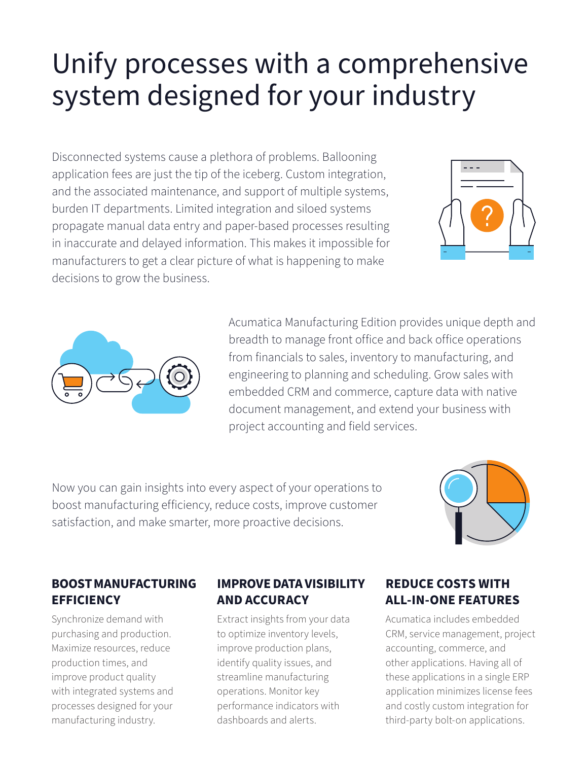# Unify processes with a comprehensive system designed for your industry

Disconnected systems cause a plethora of problems. Ballooning application fees are just the tip of the iceberg. Custom integration, and the associated maintenance, and support of multiple systems, burden IT departments. Limited integration and siloed systems propagate manual data entry and paper-based processes resulting in inaccurate and delayed information. This makes it impossible for manufacturers to get a clear picture of what is happening to make decisions to grow the business.





Acumatica Manufacturing Edition provides unique depth and breadth to manage front office and back office operations from financials to sales, inventory to manufacturing, and engineering to planning and scheduling. Grow sales with embedded CRM and commerce, capture data with native document management, and extend your business with project accounting and field services.

Now you can gain insights into every aspect of your operations to boost manufacturing efficiency, reduce costs, improve customer satisfaction, and make smarter, more proactive decisions.



## **BOOST MANUFACTURING EFFICIENCY**

Synchronize demand with purchasing and production. Maximize resources, reduce production times, and improve product quality with integrated systems and processes designed for your manufacturing industry.

## **IMPROVE DATA VISIBILITY AND ACCURACY**

Extract insights from your data to optimize inventory levels, improve production plans, identify quality issues, and streamline manufacturing operations. Monitor key performance indicators with dashboards and alerts.

## **REDUCE COSTS WITH ALL-IN-ONE FEATURES**

Acumatica includes embedded CRM, service management, project accounting, commerce, and other applications. Having all of these applications in a single ERP application minimizes license fees and costly custom integration for third-party bolt-on applications.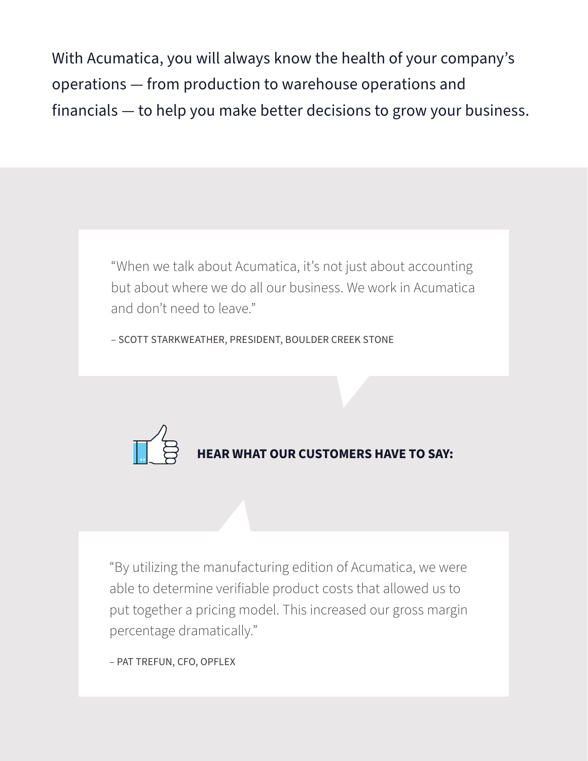With Acumatica, you will always know the health of your company's operations — from production to warehouse operations and financials — to help you make better decisions to grow your business.

> "When we talk about Acumatica, it's not just about accounting but about where we do all our business. We work in Acumatica and don't need to leave."

– SCOTT STARKWEATHER, PRESIDENT, BOULDER CREEK STONE



"By utilizing the manufacturing edition of Acumatica, we were able to determine verifiable product costs that allowed us to put together a pricing model. This increased our gross margin percentage dramatically."

– PAT TREFUN, CFO, OPFLEX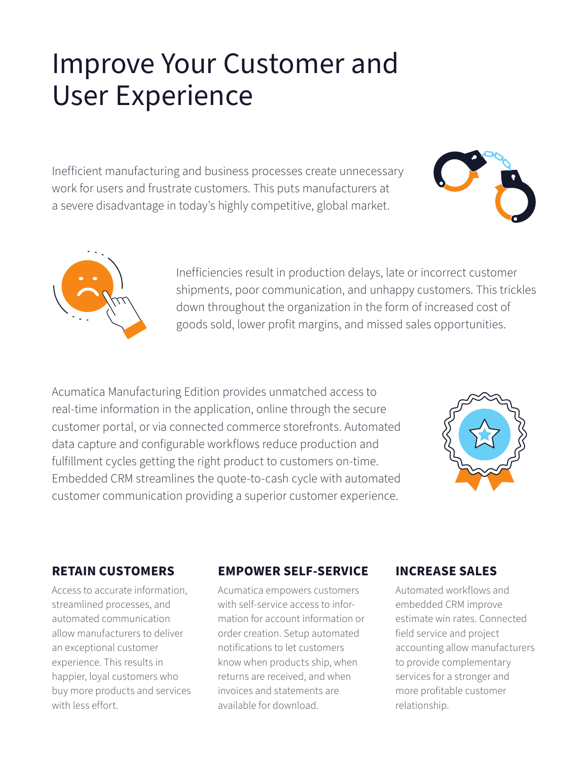## Improve Your Customer and User Experience

Inefficient manufacturing and business processes create unnecessary work for users and frustrate customers. This puts manufacturers at a severe disadvantage in today's highly competitive, global market.





Inefficiencies result in production delays, late or incorrect customer shipments, poor communication, and unhappy customers. This trickles down throughout the organization in the form of increased cost of goods sold, lower profit margins, and missed sales opportunities.

Acumatica Manufacturing Edition provides unmatched access to real-time information in the application, online through the secure customer portal, or via connected commerce storefronts. Automated data capture and configurable workflows reduce production and fulfillment cycles getting the right product to customers on-time. Embedded CRM streamlines the quote-to-cash cycle with automated customer communication providing a superior customer experience.



### **RETAIN CUSTOMERS**

Access to accurate information, streamlined processes, and automated communication allow manufacturers to deliver an exceptional customer experience. This results in happier, loyal customers who buy more products and services with less effort.

### **EMPOWER SELF-SERVICE**

Acumatica empowers customers with self-service access to information for account information or order creation. Setup automated notifications to let customers know when products ship, when returns are received, and when invoices and statements are available for download.

### **INCREASE SALES**

Automated workflows and embedded CRM improve estimate win rates. Connected field service and project accounting allow manufacturers to provide complementary services for a stronger and more profitable customer relationship.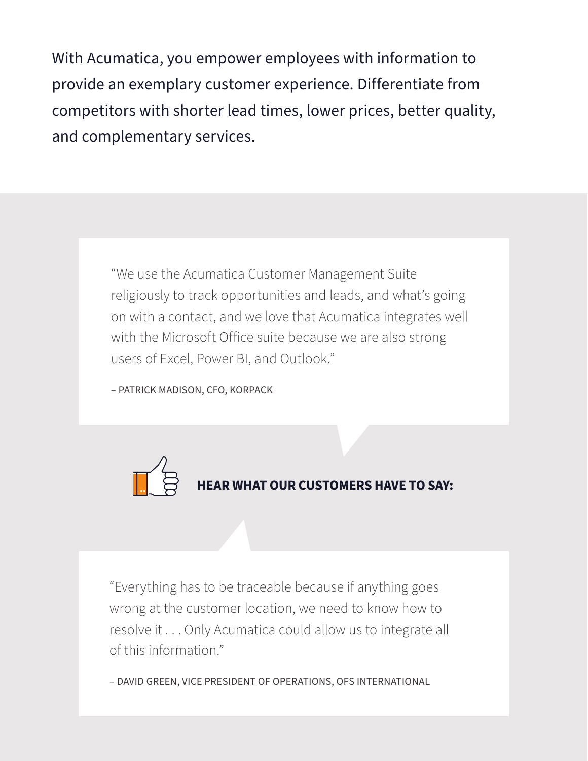With Acumatica, you empower employees with information to provide an exemplary customer experience. Differentiate from competitors with shorter lead times, lower prices, better quality, and complementary services.

> "We use the Acumatica Customer Management Suite religiously to track opportunities and leads, and what's going on with a contact, and we love that Acumatica integrates well with the Microsoft Office suite because we are also strong users of Excel, Power BI, and Outlook."

– PATRICK MADISON, CFO, KORPACK



"Everything has to be traceable because if anything goes wrong at the customer location, we need to know how to resolve it . . . Only Acumatica could allow us to integrate all of this information."

– DAVID GREEN, VICE PRESIDENT OF OPERATIONS, OFS INTERNATIONAL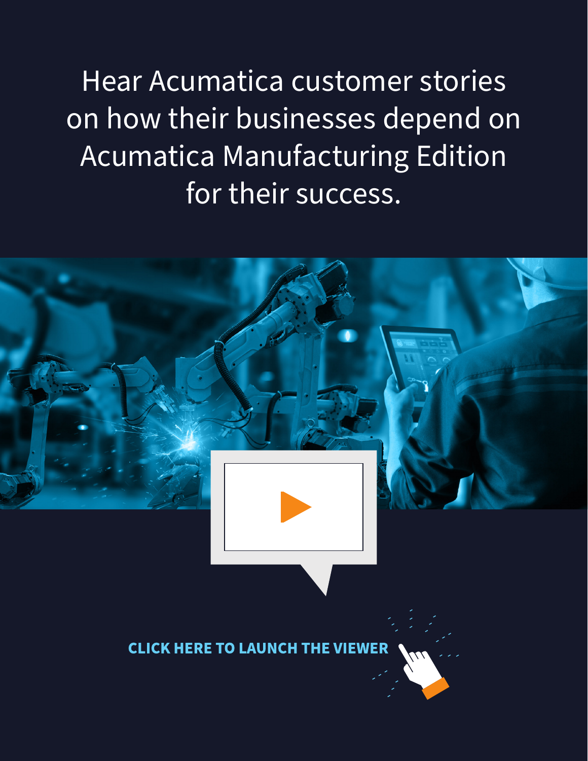Hear Acumatica customer stories on how their businesses depend on Acumatica Manufacturing Edition for their success.

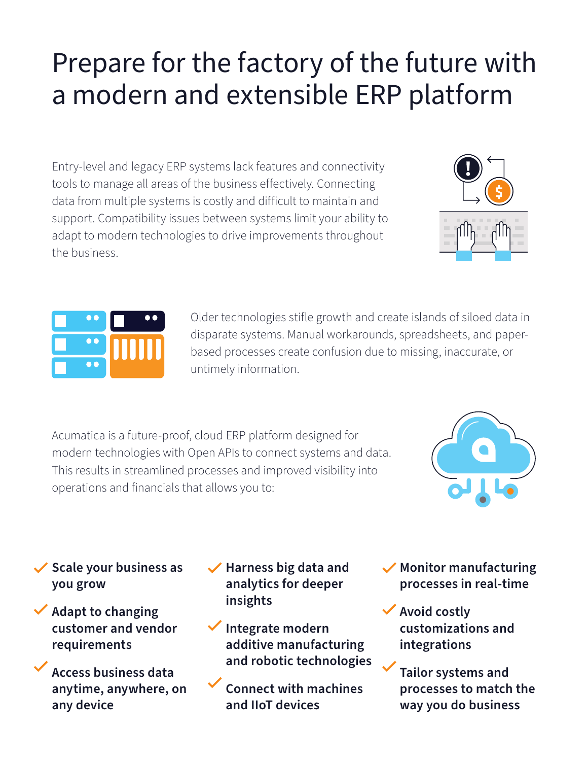# Prepare for the factory of the future with a modern and extensible ERP platform

Entry-level and legacy ERP systems lack features and connectivity tools to manage all areas of the business effectively. Connecting data from multiple systems is costly and difficult to maintain and support. Compatibility issues between systems limit your ability to adapt to modern technologies to drive improvements throughout the business.





Older technologies stifle growth and create islands of siloed data in disparate systems. Manual workarounds, spreadsheets, and paperbased processes create confusion due to missing, inaccurate, or untimely information.

Acumatica is a future-proof, cloud ERP platform designed for modern technologies with Open APIs to connect systems and data. This results in streamlined processes and improved visibility into operations and financials that allows you to:



- **Scale your business as you grow**
- **Adapt to changing customer and vendor requirements**
	- **Access business data anytime, anywhere, on any device**
- **Harness big data and analytics for deeper insights**
- **Integrate modern additive manufacturing and robotic technologies**

**Connect with machines and IIoT devices**

- **Monitor manufacturing processes in real-time**
- **Avoid costly customizations and integrations**
- **Tailor systems and processes to match the way you do business**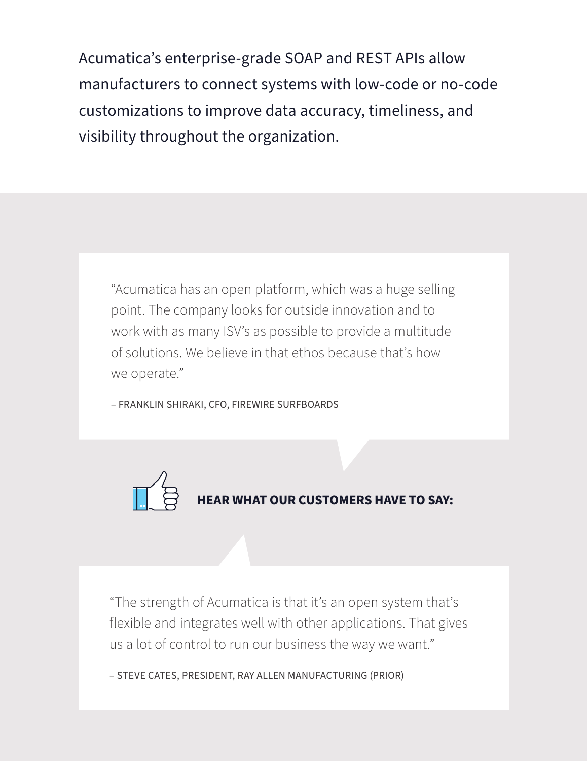Acumatica's enterprise-grade SOAP and REST APIs allow manufacturers to connect systems with low-code or no-code customizations to improve data accuracy, timeliness, and visibility throughout the organization.

"Acumatica has an open platform, which was a huge selling point. The company looks for outside innovation and to work with as many ISV's as possible to provide a multitude of solutions. We believe in that ethos because that's how we operate."

– FRANKLIN SHIRAKI, CFO, FIREWIRE SURFBOARDS



"The strength of Acumatica is that it's an open system that's flexible and integrates well with other applications. That gives us a lot of control to run our business the way we want."

– STEVE CATES, PRESIDENT, RAY ALLEN MANUFACTURING (PRIOR)